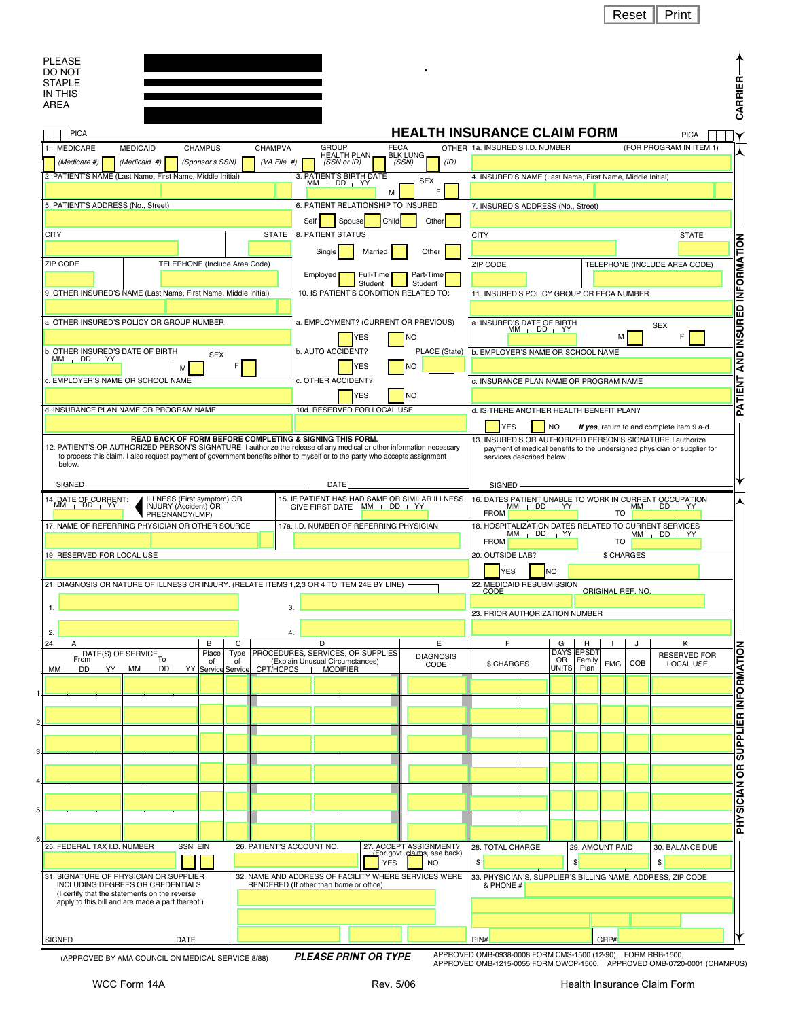Reset **Print** 

| <b>PLEASE</b><br>DO NOT<br><b>STAPLE</b><br>IN THIS<br>AREA                                                                                                                                                                                                                                                                                                |                                                                                                                                                                                                                                                                                                                     |                                                                                                                                                                |                   | CARRIER                                            |  |
|------------------------------------------------------------------------------------------------------------------------------------------------------------------------------------------------------------------------------------------------------------------------------------------------------------------------------------------------------------|---------------------------------------------------------------------------------------------------------------------------------------------------------------------------------------------------------------------------------------------------------------------------------------------------------------------|----------------------------------------------------------------------------------------------------------------------------------------------------------------|-------------------|----------------------------------------------------|--|
| PICA<br>1. MEDICARE<br><b>CHAMPUS</b><br>CHAMPVA<br><b>MEDICAID</b><br>(Sponsor's SSN)<br>(VA File #)<br>(Medicare #)<br>(Medicaid #)                                                                                                                                                                                                                      | <b>GROUP</b><br><b>FECA</b><br>HEALTH PLAN<br><b>BLK LUNG</b><br>(SSN or ID)<br>$(SS\bar{N})$<br>(ID)                                                                                                                                                                                                               | <b>HEALTH INSURANCE CLAIM FORM</b><br>OTHER 1a. INSURED'S I.D. NUMBER                                                                                          |                   | <b>PICA</b><br>(FOR PROGRAM IN ITEM 1)             |  |
| 2. PATIENT'S NAME (Last Name, First Name, Middle Initial)<br>5. PATIENT'S ADDRESS (No., Street)                                                                                                                                                                                                                                                            | 3. PATIENT'S BIRTH DATE<br><b>SEX</b><br>$MM$ $DD$ $YY$<br>F<br>м<br>6. PATIENT RELATIONSHIP TO INSURED                                                                                                                                                                                                             | 4. INSURED'S NAME (Last Name, First Name, Middle Initial)<br>7. INSURED'S ADDRESS (No., Street)                                                                |                   |                                                    |  |
| <b>CITY</b><br><b>STATE</b>                                                                                                                                                                                                                                                                                                                                | Spouse<br>Child<br>Self<br>Other<br>8. PATIENT STATUS<br>Other<br>Single<br>Married                                                                                                                                                                                                                                 | <b>CITY</b>                                                                                                                                                    |                   | <b>STATE</b>                                       |  |
| ZIP CODE<br>TELEPHONE (Include Area Code)<br>9. OTHER INSURED'S NAME (Last Name, First Name, Middle Initial)                                                                                                                                                                                                                                               | Employed<br>Part-Time<br>Full-Time<br>Student<br>Student<br>10. IS PATIENT'S CONDITION RELATED TO:                                                                                                                                                                                                                  | ZIP CODE<br>11. INSURED'S POLICY GROUP OR FECA NUMBER                                                                                                          |                   | TELEPHONE (INCLUDE AREA CODE)                      |  |
| a. OTHER INSURED'S POLICY OR GROUP NUMBER<br>b. OTHER INSURED'S DATE OF BIRTH                                                                                                                                                                                                                                                                              | a. EMPLOYMENT? (CURRENT OR PREVIOUS)<br>YES<br>N <sub>O</sub><br>PLACE (State)<br>b. AUTO ACCIDENT?                                                                                                                                                                                                                 | a. INSURED'S DATE OF BIRTH<br>b. EMPLOYER'S NAME OR SCHOOL NAME                                                                                                | М                 | <b>AND INSURED INFORMATION</b><br><b>SEX</b><br>F. |  |
| <b>SEX</b><br>MM DD, YY<br>F<br>M<br>c. EMPLOYER'S NAME OR SCHOOL NAME                                                                                                                                                                                                                                                                                     | <b>YES</b><br><b>NO</b><br>c. OTHER ACCIDENT?<br><b>NO</b><br>YES                                                                                                                                                                                                                                                   | c. INSURANCE PLAN NAME OR PROGRAM NAME                                                                                                                         |                   | <b>ATIENT</b>                                      |  |
| d. INSURANCE PLAN NAME OR PROGRAM NAME<br>READ BACK OF FORM BEFORE COMPLETING & SIGNING THIS FORM.<br>12. PATIENT'S OR AUTHORIZED PERSON'S SIGNATURE I authorize the release of any medical or other information necessary<br>to process this claim. I also request payment of government benefits either to myself or to the party who accepts assignment | d. IS THERE ANOTHER HEALTH BENEFIT PLAN?<br>$\overline{\mathbf{r}}$<br><b>YES</b><br><b>NO</b><br>If yes, return to and complete item 9 a-d.<br>13. INSURED'S OR AUTHORIZED PERSON'S SIGNATURE I authorize<br>payment of medical benefits to the undersigned physician or supplier for<br>services described below. |                                                                                                                                                                |                   |                                                    |  |
| below.<br><b>SIGNED</b><br>ILLNESS (First symptom) OR<br>14 DATE OF CURRENT:                                                                                                                                                                                                                                                                               | DATE<br>15. IF PATIENT HAS HAD SAME OR SIMILAR ILLNESS.                                                                                                                                                                                                                                                             | <b>SIGNED</b><br>16. DATES PATIENT UNABLE TO WORK IN CURRENT OCCUPATION                                                                                        |                   |                                                    |  |
| <b>INJURY (Accident) OR</b><br>GIVE FIRST DATE MM   DD   YY<br>PREGNANCY(LMP)<br>17. NAME OF REFERRING PHYSICIAN OR OTHER SOURCE<br>17a. I.D. NUMBER OF REFERRING PHYSICIAN<br>19. RESERVED FOR LOCAL USE                                                                                                                                                  | $MM$ $\mid$ $DD$ $\mid$ $YY$<br>$MM$ $DD$ $YY$<br><b>FROM</b><br><b>TO</b><br>18. HOSPITALIZATION DATES RELATED TO CURRENT SERVICES<br>$MM$ DD YY<br>$MM$ DD $N$<br><b>FROM</b><br>TO                                                                                                                               |                                                                                                                                                                |                   |                                                    |  |
| 21. DIAGNOSIS OR NATURE OF ILLNESS OR INJURY. (RELATE ITEMS 1,2,3 OR 4 TO ITEM 24E BY LINE)                                                                                                                                                                                                                                                                | 20. OUTSIDE LAB?<br><b>YES</b><br><b>INO</b><br>22. MEDICAID RESUBMISSION<br>CODE                                                                                                                                                                                                                                   | \$ CHARGES<br><b>ORIGINAL REF. NO</b>                                                                                                                          |                   |                                                    |  |
| 1<br>2.<br>24.<br>в<br>С<br>Α                                                                                                                                                                                                                                                                                                                              | 3.<br>4.<br>Ε<br>D                                                                                                                                                                                                                                                                                                  | 23. PRIOR AUTHORIZATION NUMBER<br>F<br>G<br>Η<br>J<br>К                                                                                                        |                   |                                                    |  |
| Place<br><b>DATE(S) OF SERVICE</b> <sub>To</sub><br>Type<br>of<br>of<br>DD<br>YY<br><b>CPT/HCPCS</b><br>DD<br>МM<br>ΜМ<br>YY<br><b>Service Service</b>                                                                                                                                                                                                     | PROCEDURES, SERVICES, OR SUPPLIES<br><b>DIAGNOSIS</b><br>(Explain Unusual Circumstances)<br>CODE<br><b>MODIFIER</b>                                                                                                                                                                                                 | <b>EPSDT</b><br><b>DAYS</b><br>OR<br>Family<br>\$ CHARGES<br>UNITS<br>Plan                                                                                     | <b>EMG</b><br>COB | <b>RESERVED FOR</b><br><b>LOCAL USE</b>            |  |
|                                                                                                                                                                                                                                                                                                                                                            |                                                                                                                                                                                                                                                                                                                     |                                                                                                                                                                |                   | <b>SUPPLIER INFORMATION</b>                        |  |
| 3.<br>4                                                                                                                                                                                                                                                                                                                                                    |                                                                                                                                                                                                                                                                                                                     |                                                                                                                                                                |                   | 6F                                                 |  |
| 5                                                                                                                                                                                                                                                                                                                                                          |                                                                                                                                                                                                                                                                                                                     |                                                                                                                                                                |                   | <b>PHYSICIAN</b>                                   |  |
| 25. FEDERAL TAX I.D. NUMBER<br>26. PATIENT'S ACCOUNT NO.<br>27. ACCEPT ASSIGNMENT?<br><b>SSN EIN</b><br>(For govt. claims, see back)<br><b>YES</b><br>NO.<br>31. SIGNATURE OF PHYSICIAN OR SUPPLIER<br>32. NAME AND ADDRESS OF FACILITY WHERE SERVICES WERE<br>INCLUDING DEGREES OR CREDENTIALS<br>RENDERED (If other than home or office)                 |                                                                                                                                                                                                                                                                                                                     | 28. TOTAL CHARGE<br>29. AMOUNT PAID<br>30. BALANCE DUE<br>\$<br>\$<br>$\mathbb{S}$<br>33. PHYSICIAN'S, SUPPLIER'S BILLING NAME, ADDRESS, ZIP CODE<br>& PHONE # |                   |                                                    |  |
| (I certify that the statements on the reverse<br>apply to this bill and are made a part thereof.)<br><b>SIGNED</b><br>DATE                                                                                                                                                                                                                                 |                                                                                                                                                                                                                                                                                                                     |                                                                                                                                                                | PIN#<br>GRP#      |                                                    |  |

(APPROVED BY AMA COUNCIL ON MEDICAL SERVICE 8/88)

**PLEASE PRINT OR TYPE** APPROVED OMB-0938-0008 FORM CMS-1500 (12-90), FORM RRB-1500, APPROVED OMB-1215-0055 FORM OWCP-1500, APPROVED OMB-0720-0001 (CHAMPUS)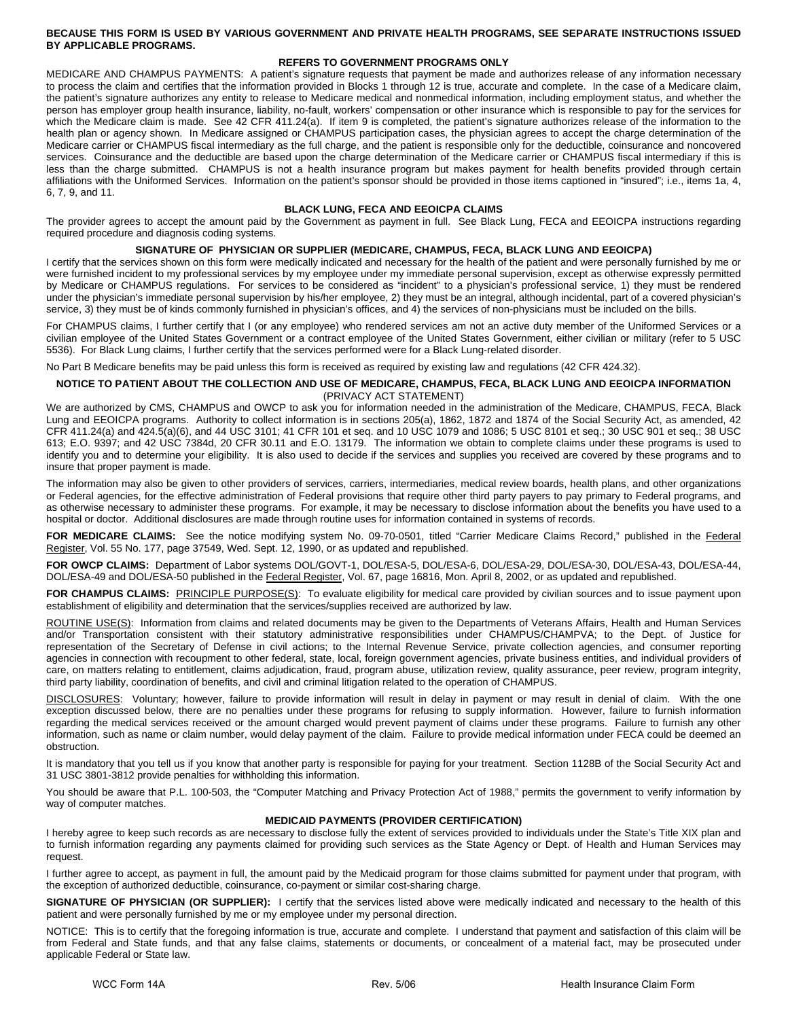#### **BECAUSE THIS FORM IS USED BY VARIOUS GOVERNMENT AND PRIVATE HEALTH PROGRAMS, SEE SEPARATE INSTRUCTIONS ISSUED BY APPLICABLE PROGRAMS.**

## **REFERS TO GOVERNMENT PROGRAMS ONLY**

MEDICARE AND CHAMPUS PAYMENTS: A patient's signature requests that payment be made and authorizes release of any information necessary to process the claim and certifies that the information provided in Blocks 1 through 12 is true, accurate and complete. In the case of a Medicare claim, the patient's signature authorizes any entity to release to Medicare medical and nonmedical information, including employment status, and whether the person has employer group health insurance, liability, no-fault, workers' compensation or other insurance which is responsible to pay for the services for which the Medicare claim is made. See 42 CFR 411.24(a). If item 9 is completed, the patient's signature authorizes release of the information to the health plan or agency shown. In Medicare assigned or CHAMPUS participation cases, the physician agrees to accept the charge determination of the Medicare carrier or CHAMPUS fiscal intermediary as the full charge, and the patient is responsible only for the deductible, coinsurance and noncovered services. Coinsurance and the deductible are based upon the charge determination of the Medicare carrier or CHAMPUS fiscal intermediary if this is less than the charge submitted. CHAMPUS is not a health insurance program but makes payment for health benefits provided through certain affiliations with the Uniformed Services. Information on the patient's sponsor should be provided in those items captioned in "insured"; i.e., items 1a, 4, 6, 7, 9, and 11.

## **BLACK LUNG, FECA AND EEOICPA CLAIMS**

The provider agrees to accept the amount paid by the Government as payment in full. See Black Lung, FECA and EEOICPA instructions regarding required procedure and diagnosis coding systems.

#### **SIGNATURE OF PHYSICIAN OR SUPPLIER (MEDICARE, CHAMPUS, FECA, BLACK LUNG AND EEOICPA)**

I certify that the services shown on this form were medically indicated and necessary for the health of the patient and were personally furnished by me or were furnished incident to my professional services by my employee under my immediate personal supervision, except as otherwise expressly permitted by Medicare or CHAMPUS regulations. For services to be considered as "incident" to a physician's professional service, 1) they must be rendered under the physician's immediate personal supervision by his/her employee, 2) they must be an integral, although incidental, part of a covered physician's service, 3) they must be of kinds commonly furnished in physician's offices, and 4) the services of non-physicians must be included on the bills.

For CHAMPUS claims, I further certify that I (or any employee) who rendered services am not an active duty member of the Uniformed Services or a civilian employee of the United States Government or a contract employee of the United States Government, either civilian or military (refer to 5 USC 5536). For Black Lung claims, I further certify that the services performed were for a Black Lung-related disorder.

No Part B Medicare benefits may be paid unless this form is received as required by existing law and regulations (42 CFR 424.32).

# **NOTICE TO PATIENT ABOUT THE COLLECTION AND USE OF MEDICARE, CHAMPUS, FECA, BLACK LUNG AND EEOICPA INFORMATION**  (PRIVACY ACT STATEMENT)

We are authorized by CMS, CHAMPUS and OWCP to ask you for information needed in the administration of the Medicare, CHAMPUS, FECA, Black Lung and EEOICPA programs. Authority to collect information is in sections 205(a), 1862, 1872 and 1874 of the Social Security Act, as amended, 42 CFR 411.24(a) and 424.5(a)(6), and 44 USC 3101; 41 CFR 101 et seq. and 10 USC 1079 and 1086; 5 USC 8101 et seq.; 30 USC 901 et seq.; 38 USC 613; E.O. 9397; and 42 USC 7384d, 20 CFR 30.11 and E.O. 13179. The information we obtain to complete claims under these programs is used to identify you and to determine your eligibility. It is also used to decide if the services and supplies you received are covered by these programs and to insure that proper payment is made.

The information may also be given to other providers of services, carriers, intermediaries, medical review boards, health plans, and other organizations or Federal agencies, for the effective administration of Federal provisions that require other third party payers to pay primary to Federal programs, and as otherwise necessary to administer these programs. For example, it may be necessary to disclose information about the benefits you have used to a hospital or doctor. Additional disclosures are made through routine uses for information contained in systems of records.

FOR MEDICARE CLAIMS: See the notice modifying system No. 09-70-0501, titled "Carrier Medicare Claims Record," published in the Federal Register, Vol. 55 No. 177, page 37549, Wed. Sept. 12, 1990, or as updated and republished.

**FOR OWCP CLAIMS:** Department of Labor systems DOL/GOVT-1, DOL/ESA-5, DOL/ESA-6, DOL/ESA-29, DOL/ESA-30, DOL/ESA-43, DOL/ESA-44, DOL/ESA-49 and DOL/ESA-50 published in the Federal Register, Vol. 67, page 16816, Mon. April 8, 2002, or as updated and republished.

FOR CHAMPUS CLAIMS: PRINCIPLE PURPOSE(S): To evaluate eligibility for medical care provided by civilian sources and to issue payment upon establishment of eligibility and determination that the services/supplies received are authorized by law.

ROUTINE USE(S): Information from claims and related documents may be given to the Departments of Veterans Affairs, Health and Human Services and/or Transportation consistent with their statutory administrative responsibilities under CHAMPUS/CHAMPVA; to the Dept. of Justice for representation of the Secretary of Defense in civil actions; to the Internal Revenue Service, private collection agencies, and consumer reporting agencies in connection with recoupment to other federal, state, local, foreign government agencies, private business entities, and individual providers of care, on matters relating to entitlement, claims adjudication, fraud, program abuse, utilization review, quality assurance, peer review, program integrity, third party liability, coordination of benefits, and civil and criminal litigation related to the operation of CHAMPUS.

DISCLOSURES: Voluntary; however, failure to provide information will result in delay in payment or may result in denial of claim. With the one exception discussed below, there are no penalties under these programs for refusing to supply information. However, failure to furnish information regarding the medical services received or the amount charged would prevent payment of claims under these programs. Failure to furnish any other information, such as name or claim number, would delay payment of the claim. Failure to provide medical information under FECA could be deemed an obstruction.

It is mandatory that you tell us if you know that another party is responsible for paying for your treatment. Section 1128B of the Social Security Act and 31 USC 3801-3812 provide penalties for withholding this information.

You should be aware that P.L. 100-503, the "Computer Matching and Privacy Protection Act of 1988," permits the government to verify information by way of computer matches.

### **MEDICAID PAYMENTS (PROVIDER CERTIFICATION)**

I hereby agree to keep such records as are necessary to disclose fully the extent of services provided to individuals under the State's Title XIX plan and to furnish information regarding any payments claimed for providing such services as the State Agency or Dept. of Health and Human Services may request.

I further agree to accept, as payment in full, the amount paid by the Medicaid program for those claims submitted for payment under that program, with the exception of authorized deductible, coinsurance, co-payment or similar cost-sharing charge.

**SIGNATURE OF PHYSICIAN (OR SUPPLIER):** I certify that the services listed above were medically indicated and necessary to the health of this patient and were personally furnished by me or my employee under my personal direction.

NOTICE: This is to certify that the foregoing information is true, accurate and complete. I understand that payment and satisfaction of this claim will be from Federal and State funds, and that any false claims, statements or documents, or concealment of a material fact, may be prosecuted under applicable Federal or State law.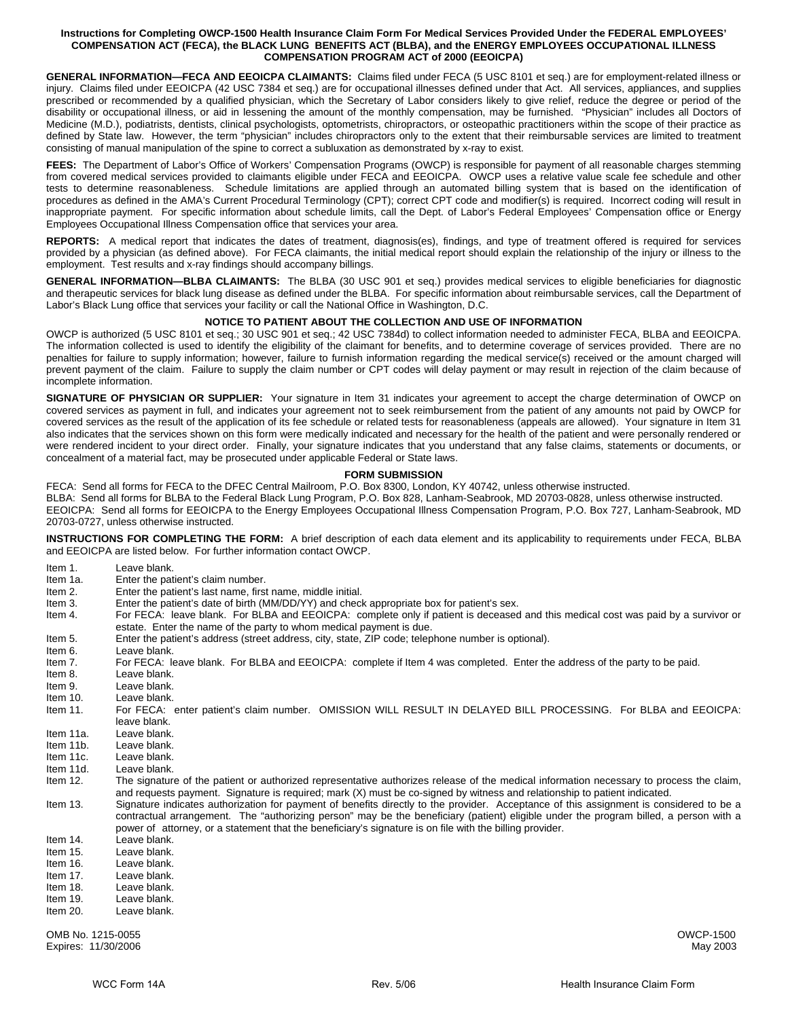#### **Instructions for Completing OWCP-1500 Health Insurance Claim Form For Medical Services Provided Under the FEDERAL EMPLOYEES' COMPENSATION ACT (FECA), the BLACK LUNG BENEFITS ACT (BLBA), and the ENERGY EMPLOYEES OCCUPATIONAL ILLNESS COMPENSATION PROGRAM ACT of 2000 (EEOICPA)**

**GENERAL INFORMATION—FECA AND EEOICPA CLAIMANTS:** Claims filed under FECA (5 USC 8101 et seq.) are for employment-related illness or injury. Claims filed under EEOICPA (42 USC 7384 et seq.) are for occupational illnesses defined under that Act. All services, appliances, and supplies prescribed or recommended by a qualified physician, which the Secretary of Labor considers likely to give relief, reduce the degree or period of the disability or occupational illness, or aid in lessening the amount of the monthly compensation, may be furnished. "Physician" includes all Doctors of Medicine (M.D.), podiatrists, dentists, clinical psychologists, optometrists, chiropractors, or osteopathic practitioners within the scope of their practice as defined by State law. However, the term "physician" includes chiropractors only to the extent that their reimbursable services are limited to treatment consisting of manual manipulation of the spine to correct a subluxation as demonstrated by x-ray to exist.

**FEES:** The Department of Labor's Office of Workers' Compensation Programs (OWCP) is responsible for payment of all reasonable charges stemming from covered medical services provided to claimants eligible under FECA and EEOICPA. OWCP uses a relative value scale fee schedule and other tests to determine reasonableness. Schedule limitations are applied through an automated billing system that is based on the identification of procedures as defined in the AMA's Current Procedural Terminology (CPT); correct CPT code and modifier(s) is required. Incorrect coding will result in inappropriate payment. For specific information about schedule limits, call the Dept. of Labor's Federal Employees' Compensation office or Energy Employees Occupational Illness Compensation office that services your area.

**REPORTS:** A medical report that indicates the dates of treatment, diagnosis(es), findings, and type of treatment offered is required for services provided by a physician (as defined above). For FECA claimants, the initial medical report should explain the relationship of the injury or illness to the employment. Test results and x-ray findings should accompany billings.

**GENERAL INFORMATION—BLBA CLAIMANTS:** The BLBA (30 USC 901 et seq.) provides medical services to eligible beneficiaries for diagnostic and therapeutic services for black lung disease as defined under the BLBA. For specific information about reimbursable services, call the Department of Labor's Black Lung office that services your facility or call the National Office in Washington, D.C.

# **NOTICE TO PATIENT ABOUT THE COLLECTION AND USE OF INFORMATION**

OWCP is authorized (5 USC 8101 et seq.; 30 USC 901 et seq.; 42 USC 7384d) to collect information needed to administer FECA, BLBA and EEOICPA. The information collected is used to identify the eligibility of the claimant for benefits, and to determine coverage of services provided. There are no penalties for failure to supply information; however, failure to furnish information regarding the medical service(s) received or the amount charged will prevent payment of the claim. Failure to supply the claim number or CPT codes will delay payment or may result in rejection of the claim because of incomplete information.

**SIGNATURE OF PHYSICIAN OR SUPPLIER:** Your signature in Item 31 indicates your agreement to accept the charge determination of OWCP on covered services as payment in full, and indicates your agreement not to seek reimbursement from the patient of any amounts not paid by OWCP for covered services as the result of the application of its fee schedule or related tests for reasonableness (appeals are allowed). Your signature in Item 31 also indicates that the services shown on this form were medically indicated and necessary for the health of the patient and were personally rendered or were rendered incident to your direct order. Finally, your signature indicates that you understand that any false claims, statements or documents, or concealment of a material fact, may be prosecuted under applicable Federal or State laws.

# **FORM SUBMISSION**

FECA: Send all forms for FECA to the DFEC Central Mailroom, P.O. Box 8300, London, KY 40742, unless otherwise instructed.

BLBA: Send all forms for BLBA to the Federal Black Lung Program, P.O. Box 828, Lanham-Seabrook, MD 20703-0828, unless otherwise instructed.

EEOICPA: Send all forms for EEOICPA to the Energy Employees Occupational Illness Compensation Program, P.O. Box 727, Lanham-Seabrook, MD 20703-0727, unless otherwise instructed.

**INSTRUCTIONS FOR COMPLETING THE FORM:** A brief description of each data element and its applicability to requirements under FECA, BLBA and EEOICPA are listed below. For further information contact OWCP.

- Item 1. Leave blank.
- Item 1a. Enter the patient's claim number.
- Item 2. Enter the patient's last name, first name, middle initial.
- Item 3. Enter the patient's date of birth (MM/DD/YY) and check appropriate box for patient's sex.
- Item 4. For FECA: leave blank. For BLBA and EEOICPA: complete only if patient is deceased and this medical cost was paid by a survivor or estate. Enter the name of the party to whom medical payment is due.
- Item 5. Enter the patient's address (street address, city, state, ZIP code; telephone number is optional).
- Item 6. Leave blank.
- Item 7. For FECA: leave blank. For BLBA and EEOICPA: complete if Item 4 was completed. Enter the address of the party to be paid.
- Item 8. Leave blank.
- Item 9. Leave blank.
- Item 10. Leave blank.
- Item 11. For FECA: enter patient's claim number. OMISSION WILL RESULT IN DELAYED BILL PROCESSING. For BLBA and EEOICPA: leave blank.
- Item 11a. Leave blank.
- Item 11b. Leave blank.<br>Item 11c. Leave blank.
- Leave blank.
- Item 11d. Leave blank.
- Item 12. The signature of the patient or authorized representative authorizes release of the medical information necessary to process the claim, and requests payment. Signature is required; mark (X) must be co-signed by witness and relationship to patient indicated.
- Item 13. Signature indicates authorization for payment of benefits directly to the provider. Acceptance of this assignment is considered to be a contractual arrangement. The "authorizing person" may be the beneficiary (patient) eligible under the program billed, a person with a power of attorney, or a statement that the beneficiary's signature is on file with the billing provider.
- Item 14. Leave blank.
- Item 15. Leave blank.
- Item 16. Leave blank.
- Item 17. Leave blank.<br>Item 18. Leave blank.
- Leave blank.
- Item 19. Leave blank. Item 20. Leave blank.
- OMB No. 1215-0055 OWCP-1500

Expires: 11/30/2006 May 2003